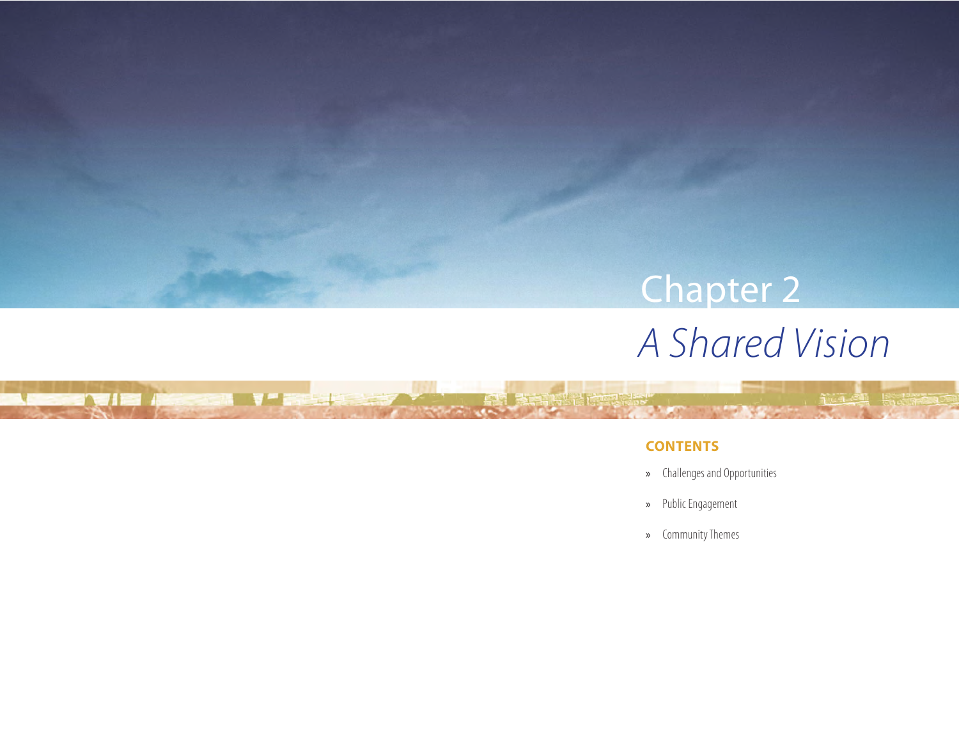# *A Shared Vision* Chapter 2

### **CONTENTS**

DE VID ACCESS V DE LES

- » Challenges and Opportunities
- » Public Engagement
- » Community Themes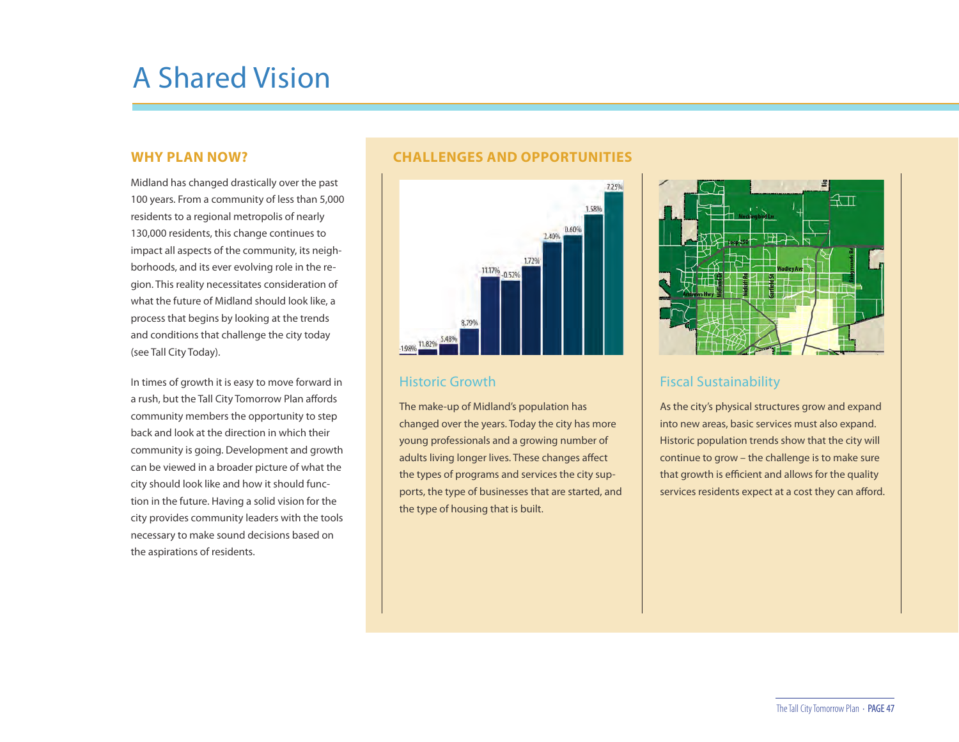## A Shared Vision

#### **WHY PLAN NOW?**

Midland has changed drastically over the past 100 years. From a community of less than 5,000 residents to a regional metropolis of nearly 130,000 residents, this change continues to impact all aspects of the community, its neighborhoods, and its ever evolving role in the region. This reality necessitates consideration of what the future of Midland should look like, a process that begins by looking at the trends and conditions that challenge the city today (see Tall City Today).

In times of growth it is easy to move forward in a rush, but the Tall City Tomorrow Plan affords community members the opportunity to step back and look at the direction in which their community is going. Development and growth can be viewed in a broader picture of what the city should look like and how it should function in the future. Having a solid vision for the city provides community leaders with the tools necessary to make sound decisions based on the aspirations of residents.

#### **CHALLENGES AND OPPORTUNITIES**



#### Historic Growth

The make-up of Midland's population has changed over the years. Today the city has more young professionals and a growing number of adults living longer lives. These changes affect the types of programs and services the city supports, the type of businesses that are started, and the type of housing that is built.



### Fiscal Sustainability

As the city's physical structures grow and expand into new areas, basic services must also expand. Historic population trends show that the city will continue to grow – the challenge is to make sure that growth is efficient and allows for the quality services residents expect at a cost they can afford.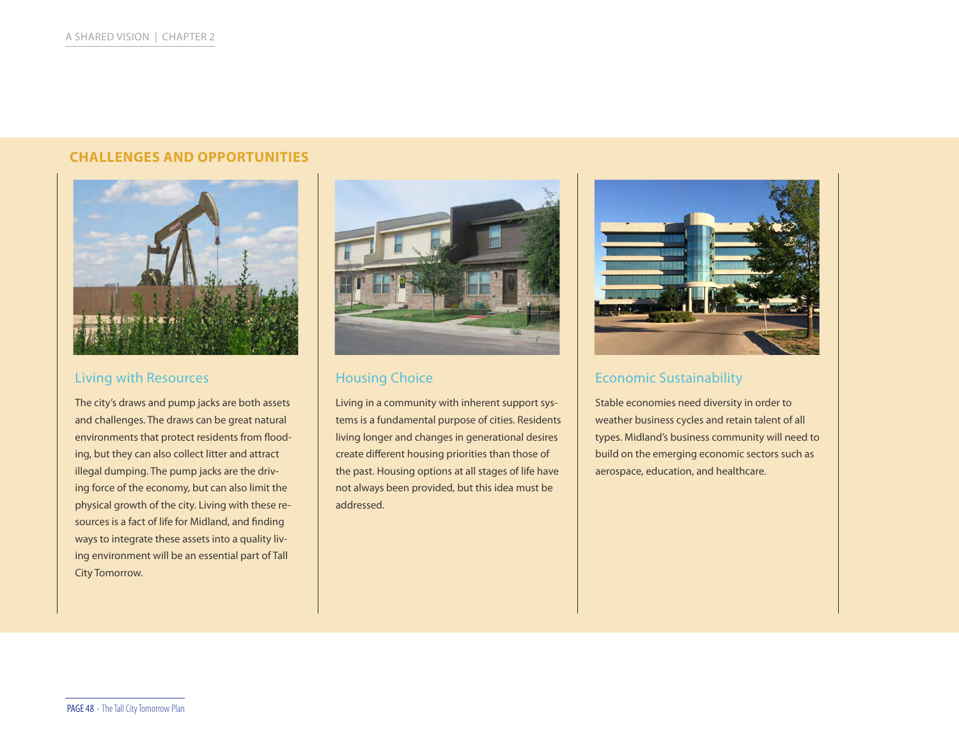#### **CHALLENGES AND OPPORTUNITIES**



#### Living with Resources

The city's draws and pump jacks are both assets and challenges. The draws can be great natural environments that protect residents from flooding, but they can also collect litter and attract illegal dumping. The pump jacks are the driving force of the economy, but can also limit the physical growth of the city. Living with these resources is a fact of life for Midland, and finding ways to integrate these assets into a quality living environment will be an essential part of Tall City Tomorrow.



### Housing Choice

Living in a community with inherent support systems is a fundamental purpose of cities. Residents living longer and changes in generational desires create different housing priorities than those of the past. Housing options at all stages of life have not always been provided, but this idea must be addressed.



## Economic Sustainability

Stable economies need diversity in order to weather business cycles and retain talent of all types. Midland's business community will need to build on the emerging economic sectors such as aerospace, education, and healthcare.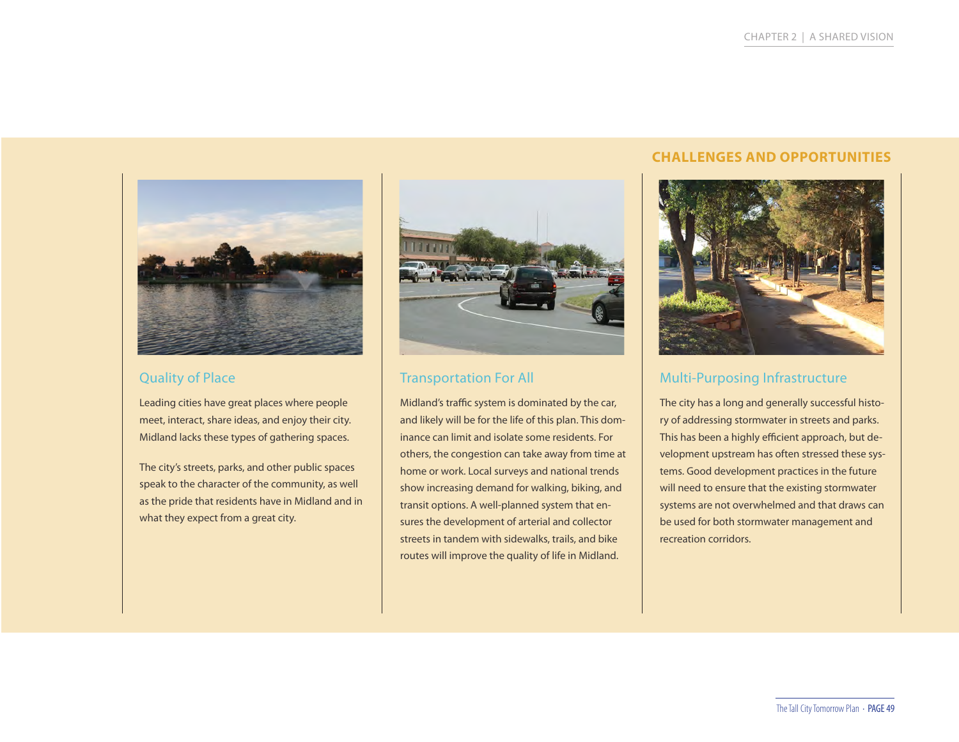

### Quality of Place

Leading cities have great places where people meet, interact, share ideas, and enjoy their city. Midland lacks these types of gathering spaces.

The city's streets, parks, and other public spaces speak to the character of the community, as well as the pride that residents have in Midland and in what they expect from a great city.



## Transportation For All

Midland's traffic system is dominated by the car, and likely will be for the life of this plan. This dominance can limit and isolate some residents. For others, the congestion can take away from time at home or work. Local surveys and national trends show increasing demand for walking, biking, and transit options. A well-planned system that ensures the development of arterial and collector streets in tandem with sidewalks, trails, and bike routes will improve the quality of life in Midland.

### **CHALLENGES AND OPPORTUNITIES**



## Multi-Purposing Infrastructure

The city has a long and generally successful history of addressing stormwater in streets and parks. This has been a highly efficient approach, but development upstream has often stressed these systems. Good development practices in the future will need to ensure that the existing stormwater systems are not overwhelmed and that draws can be used for both stormwater management and recreation corridors.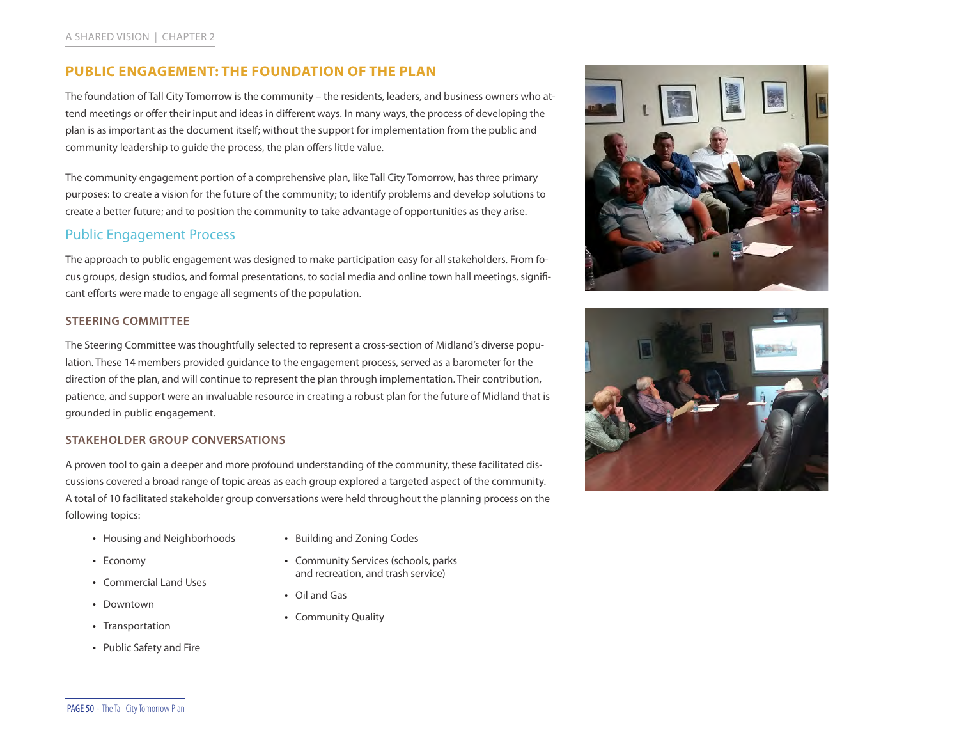#### **PUBLIC ENGAGEMENT: THE FOUNDATION OF THE PLAN**

The foundation of Tall City Tomorrow is the community – the residents, leaders, and business owners who attend meetings or offer their input and ideas in different ways. In many ways, the process of developing the plan is as important as the document itself; without the support for implementation from the public and community leadership to guide the process, the plan offers little value.

The community engagement portion of a comprehensive plan, like Tall City Tomorrow, has three primary purposes: to create a vision for the future of the community; to identify problems and develop solutions to create a better future; and to position the community to take advantage of opportunities as they arise.

#### Public Engagement Process

The approach to public engagement was designed to make participation easy for all stakeholders. From focus groups, design studios, and formal presentations, to social media and online town hall meetings, significant efforts were made to engage all segments of the population.

#### **STEERING COMMITTEE**

The Steering Committee was thoughtfully selected to represent a cross-section of Midland's diverse population. These 14 members provided guidance to the engagement process, served as a barometer for the direction of the plan, and will continue to represent the plan through implementation. Their contribution, patience, and support were an invaluable resource in creating a robust plan for the future of Midland that is grounded in public engagement.

#### **STAKEHOLDER GROUP CONVERSATIONS**

A proven tool to gain a deeper and more profound understanding of the community, these facilitated discussions covered a broad range of topic areas as each group explored a targeted aspect of the community. A total of 10 facilitated stakeholder group conversations were held throughout the planning process on the following topics:

- Housing and Neighborhoods
- 

- Economy
- Commercial Land Uses
- Downtown
- Transportation
- Public Safety and Fire
- Building and Zoning Codes
- Community Services (schools, parks and recreation, and trash service)
- Oil and Gas
- Community Quality



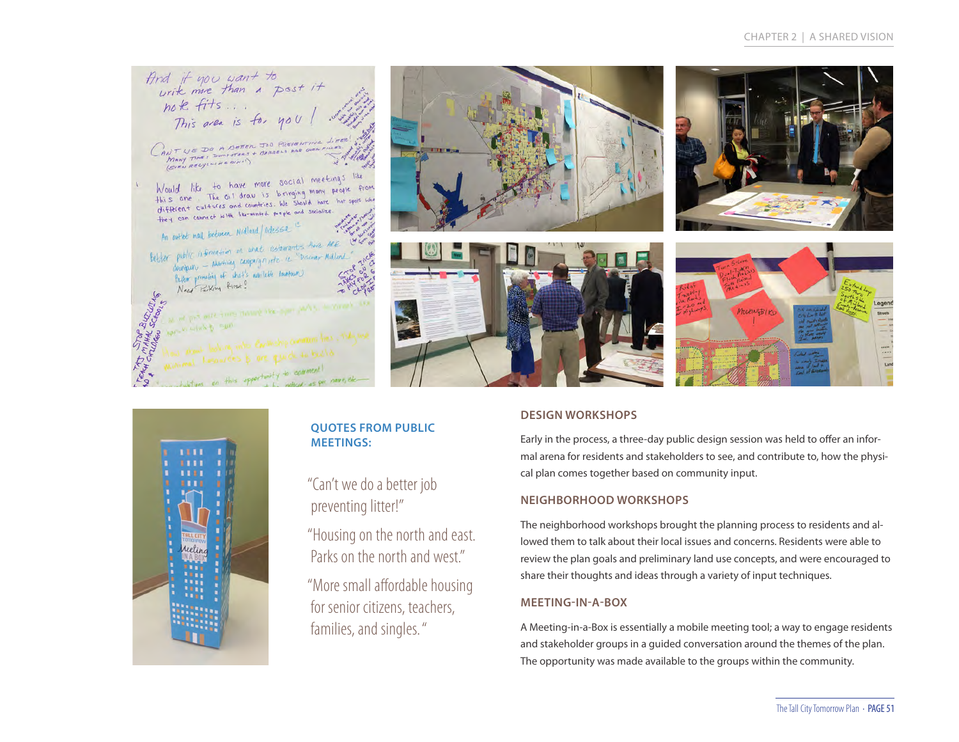#### CHAPTER 2 | A SHARED VISION

And if you want to<br>urik more than a post it<br>note fits...<br>This area is for you! CANTUE DO A BETER JOB PREVENTING LITER Would like to have more social meetings like<br>this one The oil draw is bringing mony people from<br>different cultures and counties. We should have hat spots who<br>they can connect with librarians like species assistme. An entitle mail between Midland/adessa An parties many securities on what astemants there are public information on what costenants force me.<br>doubean - Marisan compaign, etc. it. "Discour Milland. doubleast - form of what's while be doubleast. Need Parking first? TOP BUCKLING at per mile trong meand the legal party, it would not in mal house of this opportunity to comment!







#### **DESIGN WORKSHOPS**

Early in the process, a three-day public design session was held to offer an informal arena for residents and stakeholders to see, and contribute to, how the physical plan comes together based on community input.

#### **NEIGHBORHOOD WORKSHOPS**

The neighborhood workshops brought the planning process to residents and allowed them to talk about their local issues and concerns. Residents were able to review the plan goals and preliminary land use concepts, and were encouraged to share their thoughts and ideas through a variety of input techniques.

#### **MEETING-IN-A-BOX**

A Meeting-in-a-Box is essentially a mobile meeting tool; a way to engage residents and stakeholder groups in a guided conversation around the themes of the plan. The opportunity was made available to the groups within the community.



#### **QUOTES FROM PUBLIC MEETINGS:**

"Can't we do a better job preventing litter!"

"Housing on the north and east. Parks on the north and west"

"More small affordable housing for senior citizens, teachers, families, and singles. "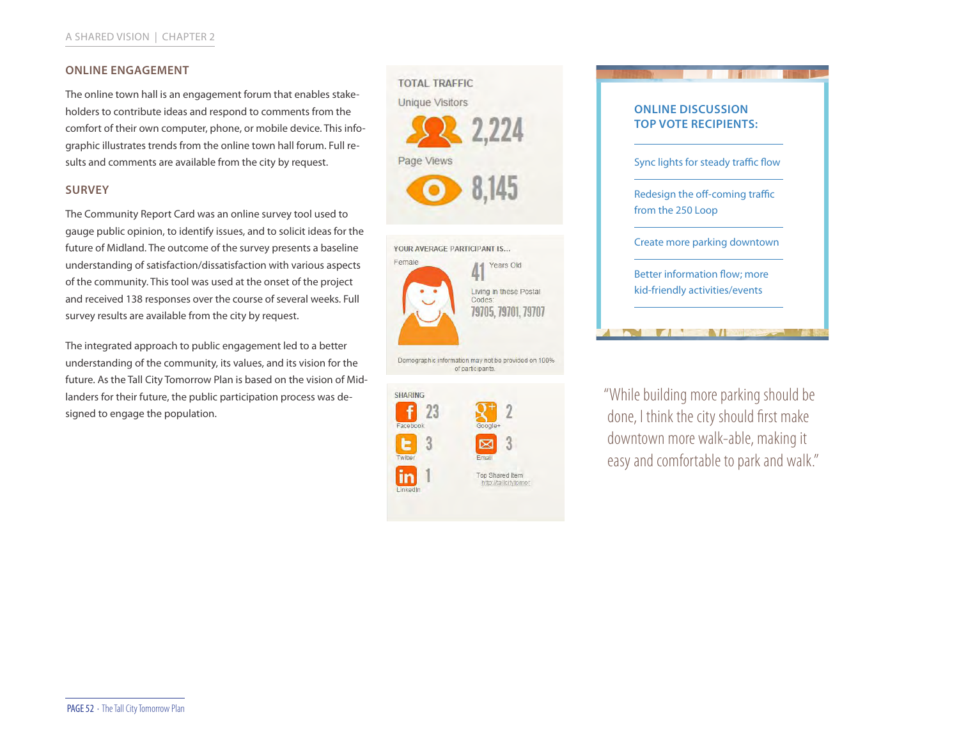#### **ONLINE ENGAGEMENT**

The online town hall is an engagement forum that enables stakeholders to contribute ideas and respond to comments from the comfort of their own computer, phone, or mobile device. This infographic illustrates trends from the online town hall forum. Full results and comments are available from the city by request.

#### **SURVEY**

The Community Report Card was an online survey tool used to gauge public opinion, to identify issues, and to solicit ideas for the future of Midland. The outcome of the survey presents a baseline understanding of satisfaction/dissatisfaction with various aspects of the community. This tool was used at the onset of the project and received 138 responses over the course of several weeks. Full survey results are available from the city by request.

The integrated approach to public engagement led to a better understanding of the community, its values, and its vision for the future. As the Tall City Tomorrow Plan is based on the vision of Midlanders for their future, the public participation process was designed to engage the population.







"While building more parking should be done, I think the city should first make downtown more walk-able, making it easy and comfortable to park and walk."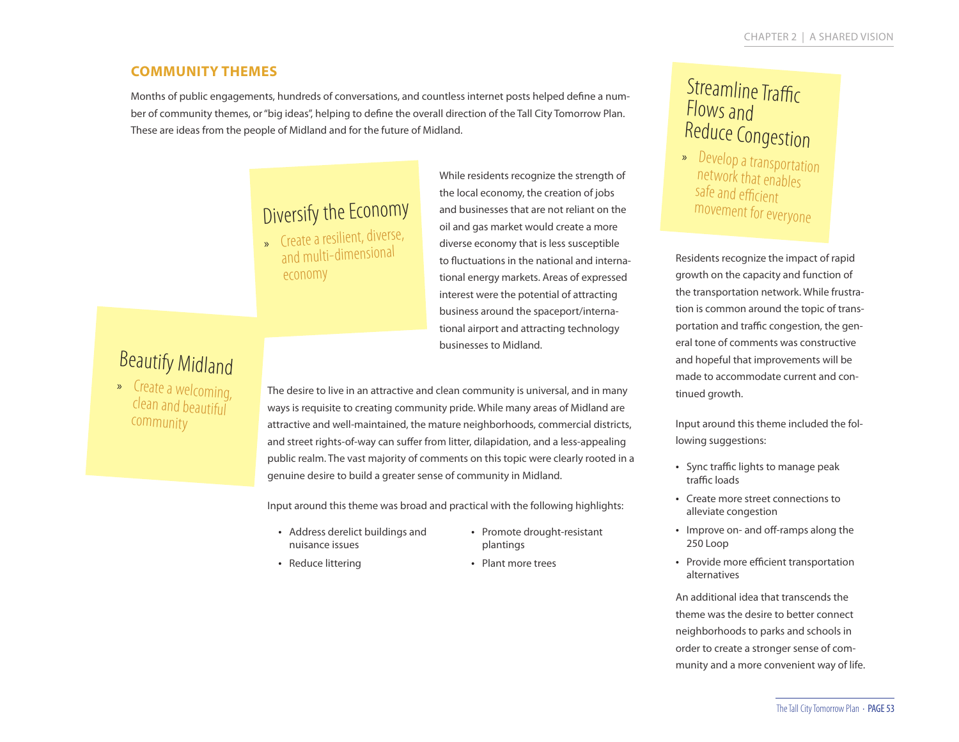### **COMMUNITY THEMES**

Months of public engagements, hundreds of conversations, and countless internet posts helped define a number of community themes, or "big ideas", helping to define the overall direction of the Tall City Tomorrow Plan. These are ideas from the people of Midland and for the future of Midland.

## Diversify the Economy

» Create a resilient, diverse, and multi-dimensiona<sup>l</sup> economy

While residents recognize the strength of the local economy, the creation of jobs and businesses that are not reliant on the oil and gas market would create a more diverse economy that is less susceptible to fluctuations in the national and international energy markets. Areas of expressed interest were the potential of attracting business around the spaceport/international airport and attracting technology businesses to Midland.

## Beautify Midland

» Create a welcoming, clean and beautiful community

The desire to live in an attractive and clean community is universal, and in many ways is requisite to creating community pride. While many areas of Midland are attractive and well-maintained, the mature neighborhoods, commercial districts, and street rights-of-way can suffer from litter, dilapidation, and a less-appealing public realm. The vast majority of comments on this topic were clearly rooted in a genuine desire to build a greater sense of community in Midland.

Input around this theme was broad and practical with the following highlights:

- Address derelict buildings and nuisance issues
- Promote drought-resistant plantings
- Reduce littering

• Plant more trees

## **Streamline Traffic** Flows and Reduce Congestion

» Develop a transportation network that enables safe and efficient movement for everyone

Residents recognize the impact of rapid growth on the capacity and function of the transportation network. While frustration is common around the topic of transportation and traffic congestion, the general tone of comments was constructive and hopeful that improvements will be made to accommodate current and continued growth.

Input around this theme included the following suggestions:

- Sync traffic lights to manage peak traffic loads
- Create more street connections to alleviate congestion
- Improve on- and off-ramps along the 250 Loop
- Provide more efficient transportation alternatives

An additional idea that transcends the theme was the desire to better connect neighborhoods to parks and schools in order to create a stronger sense of community and a more convenient way of life.